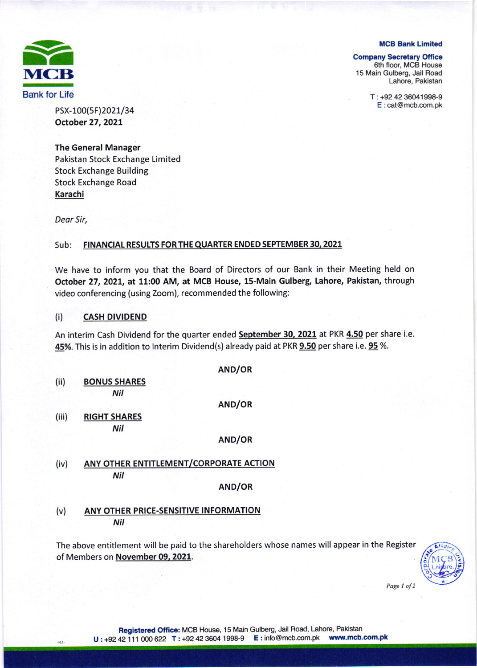

#### MCB Bank Limited

#### **Company Secretary Office**

6th floor, MCB House 15 Main Gulberg, Jail Road Lahore, Pakistan

> T : +92 42 36041998-9 E : cat@mcb.com.pk

PSX-100(5F)2021/34 October 27, 2021

### The General Manager

Pakistan Stock Exchange Limited Stock Exchange Building Stock Exchange Road Karachi

Deor Sir,

-HA

#### Sub: FINANCIAL RESULTS FOR THE QUARTER ENDED SEPTEMBER 30, 2021

We have to inform you that the Board of Directors of our Bank in their Meeting held on October 27, 2021, at 11:00 AM, at MCB House, 15-Main Gulberg, Lahore, Pakistan, through video conferencing (using Zoom), recommended the following:

### (i) CASH DIVIDEND

An interim Cash Dividend for the quarter ended September 30, 2021 at PKR 4.50 per share i.e. 45%. This is in addition to Interim Dividend(s) already paid at PKR 9.50 per share i.e. 95 %.

AND/OR

| (ii)  | <b>BONUS SHARES</b><br>Nil             |        |  |  |  |
|-------|----------------------------------------|--------|--|--|--|
|       |                                        | AND/OR |  |  |  |
| (iii) | <b>RIGHT SHARES</b>                    |        |  |  |  |
|       | Nil                                    |        |  |  |  |
|       |                                        | AND/OR |  |  |  |
| (iv)  | ANY OTHER ENTITLEMENT/CORPORATE ACTION |        |  |  |  |
|       | Nil                                    |        |  |  |  |
|       |                                        | AND/OR |  |  |  |

# (v) ANY OTHER PRICE-SENSITIVE INFORMATION Nil

The above entitlement will be paid to the shareholders whose names will appear in the Register of Members on November 09, 2021.



Page 1 of 2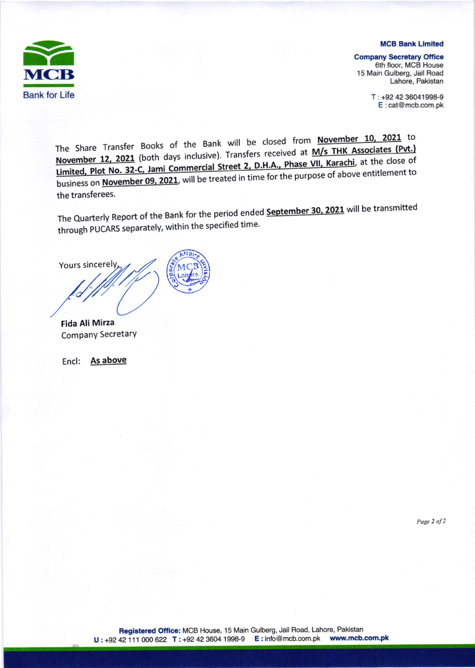

#### **MCB Bank Limited**

Company Secretary Office 6th floor, MCB House 15 Main Gulberg, Jail Road Lahore, Pakistan

> T : +92 42 36041998-9 E:cat@mcb.com.pk

The Share Transfer Books of the Bank will be closed from November 10, 2021 to November 12, 2021 (both days inclusive). Transfers received at <u>Jami Commercial Street 2, D.H.A., Phase</u> business on November 09, 2021, will be treated in time for the purpose of above entitlement to the transferees.

The Quarterly Report of the Bank for the period ended **September 30, 2021** will be transmitted through PUCARS separately, within the specified time.

Yours sincerel

Fida Ali Mirza CompanY SecretarY

Encl: As above

Page 2 of 2